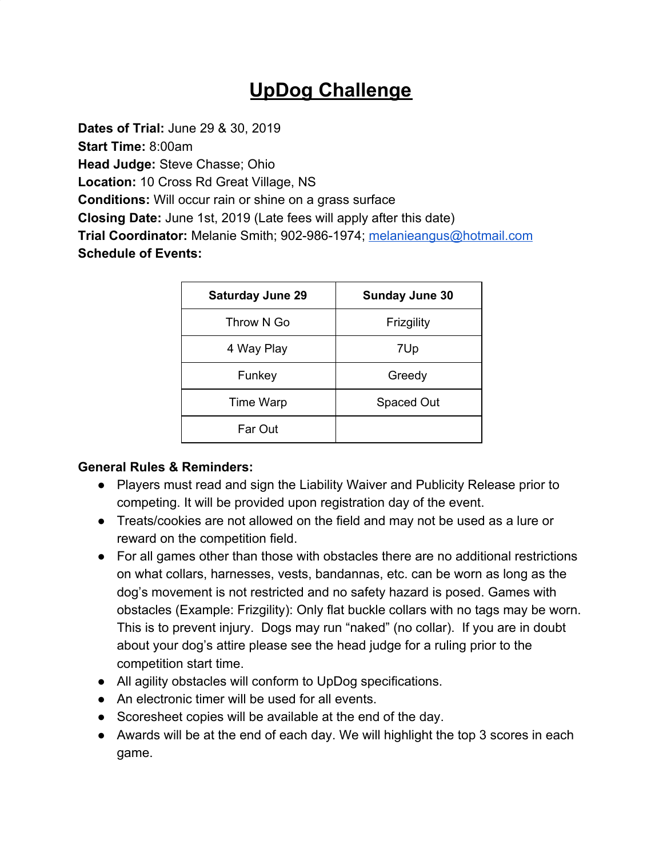# **UpDog Challenge**

**Dates of Trial:** June 29 & 30, 2019 **Start Time:** 8:00am **Head Judge:** Steve Chasse; Ohio **Location:** 10 Cross Rd Great Village, NS **Conditions:** Will occur rain or shine on a grass surface **Closing Date:** June 1st, 2019 (Late fees will apply after this date) **Trial Coordinator:** Melanie Smith; 902-986-1974; [melanieangus@hotmail.com](mailto:melanieangus@hotmail.com) **Schedule of Events:**

| <b>Saturday June 29</b> | <b>Sunday June 30</b> |
|-------------------------|-----------------------|
| Throw N Go              | Frizgility            |
| 4 Way Play              | 7Up                   |
| Funkey                  | Greedy                |
| Time Warp               | Spaced Out            |
| Far Out                 |                       |

#### **General Rules & Reminders:**

- Players must read and sign the Liability Waiver and Publicity Release prior to competing. It will be provided upon registration day of the event.
- Treats/cookies are not allowed on the field and may not be used as a lure or reward on the competition field.
- For all games other than those with obstacles there are no additional restrictions on what collars, harnesses, vests, bandannas, etc. can be worn as long as the dog's movement is not restricted and no safety hazard is posed. Games with obstacles (Example: Frizgility): Only flat buckle collars with no tags may be worn. This is to prevent injury. Dogs may run "naked" (no collar). If you are in doubt about your dog's attire please see the head judge for a ruling prior to the competition start time.
- All agility obstacles will conform to UpDog specifications.
- An electronic timer will be used for all events.
- Scoresheet copies will be available at the end of the day.
- Awards will be at the end of each day. We will highlight the top 3 scores in each game.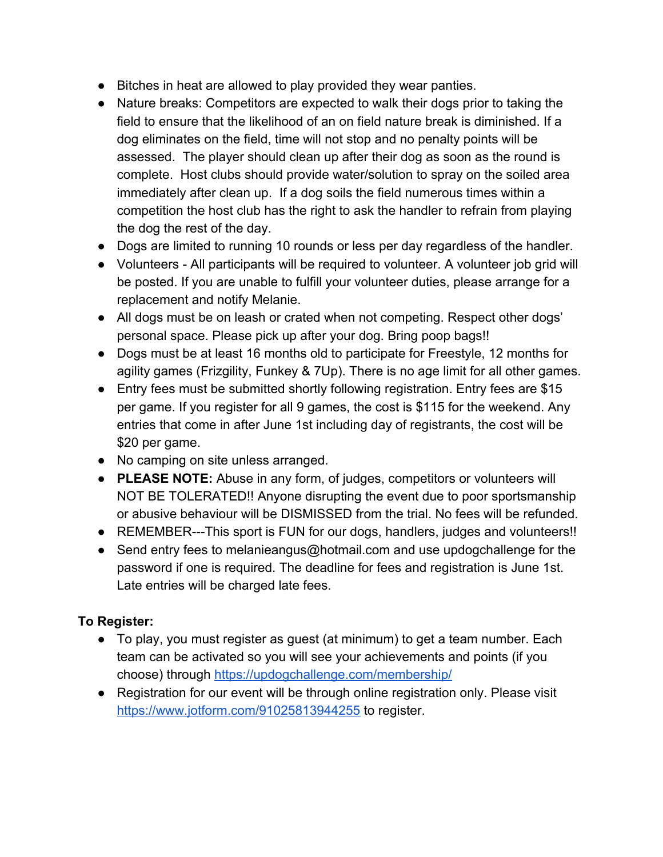- Bitches in heat are allowed to play provided they wear panties.
- Nature breaks: Competitors are expected to walk their dogs prior to taking the field to ensure that the likelihood of an on field nature break is diminished. If a dog eliminates on the field, time will not stop and no penalty points will be assessed. The player should clean up after their dog as soon as the round is complete. Host clubs should provide water/solution to spray on the soiled area immediately after clean up. If a dog soils the field numerous times within a competition the host club has the right to ask the handler to refrain from playing the dog the rest of the day.
- Dogs are limited to running 10 rounds or less per day regardless of the handler.
- Volunteers All participants will be required to volunteer. A volunteer job grid will be posted. If you are unable to fulfill your volunteer duties, please arrange for a replacement and notify Melanie.
- All dogs must be on leash or crated when not competing. Respect other dogs' personal space. Please pick up after your dog. Bring poop bags!!
- Dogs must be at least 16 months old to participate for Freestyle, 12 months for agility games (Frizgility, Funkey & 7Up). There is no age limit for all other games.
- Entry fees must be submitted shortly following registration. Entry fees are \$15 per game. If you register for all 9 games, the cost is \$115 for the weekend. Any entries that come in after June 1st including day of registrants, the cost will be \$20 per game.
- No camping on site unless arranged.
- **PLEASE NOTE:** Abuse in any form, of judges, competitors or volunteers will NOT BE TOLERATED!! Anyone disrupting the event due to poor sportsmanship or abusive behaviour will be DISMISSED from the trial. No fees will be refunded.
- REMEMBER---This sport is FUN for our dogs, handlers, judges and volunteers!!
- Send entry fees to melanieangus@hotmail.com and use updogchallenge for the password if one is required. The deadline for fees and registration is June 1st. Late entries will be charged late fees.

#### **To Register:**

- To play, you must register as guest (at minimum) to get a team number. Each team can be activated so you will see your achievements and points (if you choose) through<https://updogchallenge.com/membership/>
- Registration for our event will be through online registration only. Please visit <https://www.jotform.com/91025813944255>to register.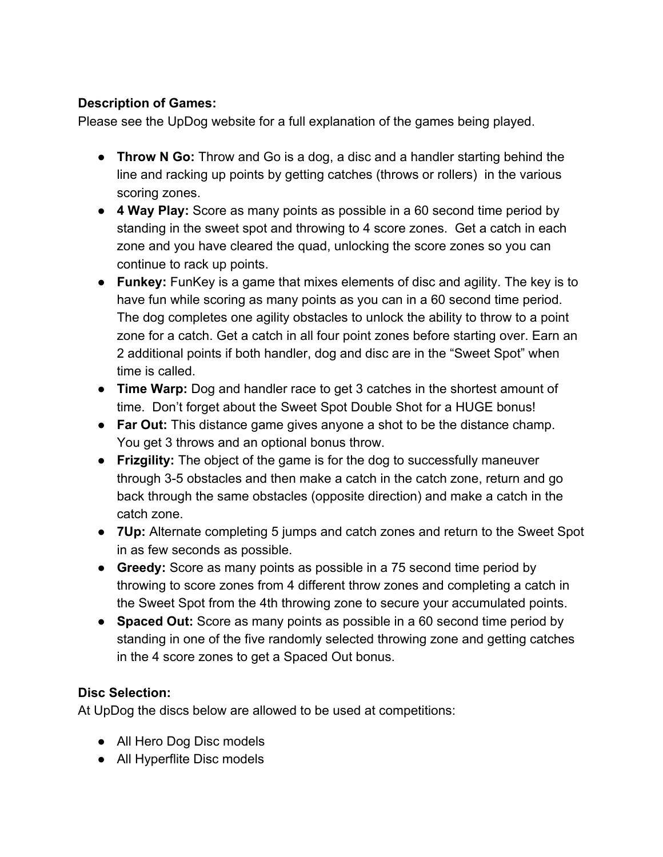### **Description of Games:**

Please see the UpDog website for a full explanation of the games being played.

- **Throw N Go:** Throw and Go is a dog, a disc and a handler starting behind the line and racking up points by getting catches (throws or rollers) in the various scoring zones.
- **4 Way Play:** Score as many points as possible in a 60 second time period by standing in the sweet spot and throwing to 4 score zones. Get a catch in each zone and you have cleared the quad, unlocking the score zones so you can continue to rack up points.
- **Funkey:** FunKey is a game that mixes elements of disc and agility. The key is to have fun while scoring as many points as you can in a 60 second time period. The dog completes one agility obstacles to unlock the ability to throw to a point zone for a catch. Get a catch in all four point zones before starting over. Earn an 2 additional points if both handler, dog and disc are in the "Sweet Spot" when time is called.
- **Time Warp:** Dog and handler race to get 3 catches in the shortest amount of time. Don't forget about the Sweet Spot Double Shot for a HUGE bonus!
- **Far Out:** This distance game gives anyone a shot to be the distance champ. You get 3 throws and an optional bonus throw.
- **Frizgility:** The object of the game is for the dog to successfully maneuver through 3-5 obstacles and then make a catch in the catch zone, return and go back through the same obstacles (opposite direction) and make a catch in the catch zone.
- **7Up:** Alternate completing 5 jumps and catch zones and return to the Sweet Spot in as few seconds as possible.
- **Greedy:** Score as many points as possible in a 75 second time period by throwing to score zones from 4 different throw zones and completing a catch in the Sweet Spot from the 4th throwing zone to secure your accumulated points.
- **Spaced Out:** Score as many points as possible in a 60 second time period by standing in one of the five randomly selected throwing zone and getting catches in the 4 score zones to get a Spaced Out bonus.

## **Disc Selection:**

At UpDog the discs below are allowed to be used at competitions:

- All Hero Dog Disc models
- All Hyperflite Disc models